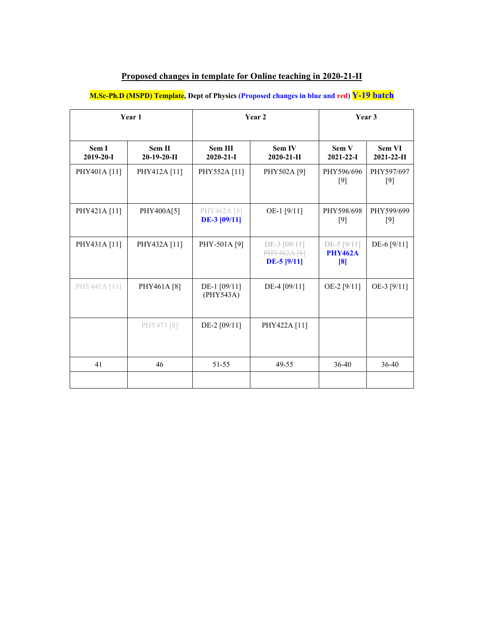## **Proposed changes in template for Online teaching in 2020-21-II**

**M.Sc-Ph.D (MSPD) Template, Dept of Physics (Proposed changes in blue and red) Y-19 batch**

| Year 1                   |                         | Year 2                             |                                              | Year 3                                     |                           |
|--------------------------|-------------------------|------------------------------------|----------------------------------------------|--------------------------------------------|---------------------------|
| Sem I<br>$2019 - 20 - I$ | Sem II<br>$20-19-20-II$ | <b>Sem III</b><br>$2020 - 21 - I$  | Sem IV<br>$2020 - 21 - H$                    | Sem V<br>$2021 - 22 - I$                   | Sem VI<br>$2021 - 22 - H$ |
| PHY401A [11]             | PHY412A [11]            | PHY552A [11]                       | PHY502A [9]                                  | PHY596/696<br>$[9]$                        | PHY597/697<br>[9]         |
| PHY421A [11]             | PHY400A[5]              | PHY462A [8]<br><b>DE-3</b> [09/11] | OE-1 [9/11]                                  | PHY598/698<br>[9]                          | PHY599/699<br>[9]         |
| PHY431A [11]             | PHY432A [11]            | PHY-501A [9]                       | DE-3 [09/11]<br>PHY462A [8]<br>$DE-5$ [9/11] | $DE-5$ [ $9/11$ ]<br><b>PHY462A</b><br>[8] | DE-6 [9/11]               |
| PHY441A [11]             | PHY461A [8]             | DE-1 [09/11]<br>(PHY543A)          | DE-4 [09/11]                                 | OE-2 [9/11]                                | OE-3 [9/11]               |
|                          | PHY473 [8]              | DE-2 [09/11]                       | PHY422A [11]                                 |                                            |                           |
| 41                       | 46                      | 51-55                              | 49-55                                        | 36-40                                      | 36-40                     |
|                          |                         |                                    |                                              |                                            |                           |